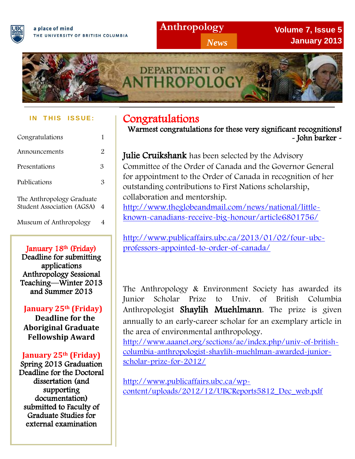

**Anthropology**

*News*

**Volume 7, Issue 5 January 2013**



#### **I N T H IS IS S UE :**

| Congratulations                                         |                |
|---------------------------------------------------------|----------------|
| Announcements                                           | 2              |
| Presentations                                           | 3              |
| Publications                                            | З              |
| The Anthropology Graduate<br>Student Association (AGSA) | $\overline{4}$ |
| Museum of Anthropology                                  |                |

### January 18<sup>th</sup> (Friday)

Deadline for submitting applications Anthropology Sessional Teaching—Winter 2013 and Summer 2013

### **January 25th (Friday)**

 **Deadline for the Aboriginal Graduate Fellowship Award** 

### **January 25th (Friday)**

Spring 2013 Graduation Deadline for the Doctoral dissertation (and supporting documentation) submitted to Faculty of Graduate Studies for external examination

# Congratulations

Warmest congratulations for these very significant recognitions! - John barker -

## Julie Cruikshank has been selected by the Advisory Committee of the Order of Canada and the Governor General

for appointment to the Order of Canada in recognition of her outstanding contributions to First Nations scholarship, collaboration and mentorship.

[http://www.theglobeandmail.com/news/national/little](http://www.theglobeandmail.com/news/national/little-known-canadians-receive-big-honour/article6801756/)[known-canadians-receive-big-honour/article6801756/](http://www.theglobeandmail.com/news/national/little-known-canadians-receive-big-honour/article6801756/)

[http://www.publicaffairs.ubc.ca/2013/01/02/four-ubc](http://www.publicaffairs.ubc.ca/2013/01/02/four-ubc-professors-appointed-to-order-of-canada/)[professors-appointed-to-order-of-canada/](http://www.publicaffairs.ubc.ca/2013/01/02/four-ubc-professors-appointed-to-order-of-canada/)

 $\overline{1}$ Junior Scholar Anthropologist Shaylih Muehlmann. The prize is given annually to an early‐career scholar for an exemplary article in the area of environmental anthropology. The Anthropology & Environment Society has awarded its Prize to Univ. of British Columbia

 $\overline{ }$ [http://www.aaanet.org/sections/ae/index.php/univ-of-british](http://www.aaanet.org/sections/ae/index.php/univ-of-british-columbia-anthropologist-shaylih-muehlman-awarded-junior-scholar-prize-for-2012/)[columbia-anthropologist-shaylih-muehlman-awarded-junior](http://www.aaanet.org/sections/ae/index.php/univ-of-british-columbia-anthropologist-shaylih-muehlman-awarded-junior-scholar-prize-for-2012/)[scholar-prize-for-2012/](http://www.aaanet.org/sections/ae/index.php/univ-of-british-columbia-anthropologist-shaylih-muehlman-awarded-junior-scholar-prize-for-2012/)

 [http://www.publicaffairs.ubc.ca/wp-](http://www.publicaffairs.ubc.ca/wp-content/uploads/2012/12/UBCReports5812_Dec_web.pdf)[content/uploads/2012/12/UBCReports5812\\_Dec\\_web.pdf](http://www.publicaffairs.ubc.ca/wp-content/uploads/2012/12/UBCReports5812_Dec_web.pdf)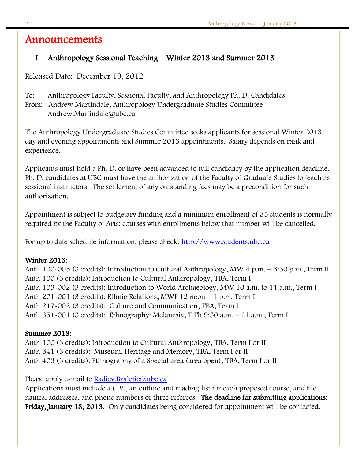## Announcements

### I. Anthropology Sessional Teaching—Winter 2013 and Summer 2013

Released Date: December 19, 2012

To: Anthropology Faculty, Sessional Faculty, and Anthropology Ph. D. Candidates From: Andrew Martindale, Anthropology Undergraduate Studies Committee Andrew.Martindale@ubc.ca

The Anthropology Undergraduate Studies Committee seeks applicants for sessional Winter 2013 day and evening appointments and Summer 2013 appointments. Salary depends on rank and experience.

Applicants must hold a Ph. D. or have been advanced to full candidacy by the application deadline. Ph. D. candidates at UBC must have the authorization of the Faculty of Graduate Studies to teach as sessional instructors. The settlement of any outstanding fees may be a precondition for such authorization.

Appointment is subject to budgetary funding and a minimum enrollment of 35 students is normally required by the Faculty of Arts; courses with enrollments below that number will be cancelled.

For up to date schedule information, please check: [http://www.students.ubc.ca](http://www.students.ubc.ca/)

### Winter 2013:

Anth 100-005 (3 credits): Introduction to Cultural Anthropology, MW 4 p.m. – 5:30 p.m., Term II Anth 100 (3 credits): Introduction to Cultural Anthropology, TBA, Term I Anth 103-002 (3 credits): Introduction to World Archaeology, MW 10 a.m. to 11 a.m., Term I Anth 201-001 (3 credits): Ethnic Relations, MWF 12 noon – 1 p.m. Term I Anth 217-002 (3 credits): Culture and Communication, TBA, Term I Anth 351-001 (3 credits): Ethnography: Melanesia, T Th 9:30 a.m. – 11 a.m., Term I

### Summer 2013:

Anth 100 (3 credits): Introduction to Cultural Anthropology, TBA, Term I or II Anth 341 (3 credits): Museum, Heritage and Memory, TBA, Term I or II Anth 403 (3 credits): Ethnography of a Special area (area open), TBA, Term I or II

Please apply e-mail to **Radicy.Braletic@ubc.ca** 

Applications must include a C.V., an outline and reading list for each proposed course, and the names, addresses, and phone numbers of three referees. The deadline for submitting applications: Friday, January 18, 2013. Only candidates being considered for appointment will be contacted.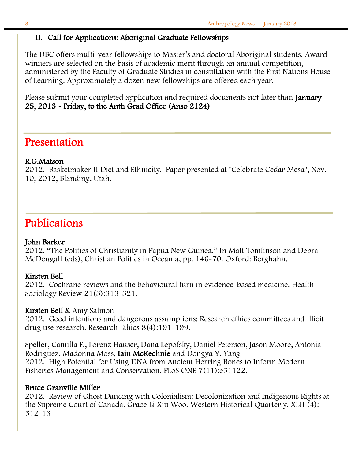$\overline{a}$ 

#### II. Call for Applications: Aboriginal Graduate Fellowships

The UBC offers multi-year fellowships to Master's and doctoral Aboriginal students. Award winners are selected on the basis of academic merit through an annual competition, administered by the Faculty of Graduate Studies in consultation with the First Nations House of Learning. Approximately a dozen new fellowships are offered each year.

Please submit your completed application and required documents not later than **January** 25, 2013 - Friday, to the Anth Grad Office (Anso 2124)

## Presentation

#### R.G.Matson

2012. Basketmaker II Diet and Ethnicity. Paper presented at "Celebrate Cedar Mesa", Nov. 10, 2012, Blanding, Utah.

## Publications

#### John Barker

2012. "The Politics of Christianity in Papua New Guinea." In Matt Tomlinson and Debra McDougall (eds), Christian Politics in Oceania, pp. 146-70. Oxford: Berghahn.

#### Kirsten Bell

2012. Cochrane reviews and the behavioural turn in evidence-based medicine. Health Sociology Review 21(3):313-321.

#### Kirsten Bell & Amy Salmon

2012. Good intentions and dangerous assumptions: Research ethics committees and illicit drug use research. Research Ethics 8(4):191-199.

Speller, Camilla F., Lorenz Hauser, Dana Lepofsky, Daniel Peterson, Jason Moore, Antonia Rodriguez, Madonna Moss, Iain McKechnie and Dongya Y. Yang 2012. High Potential for Using DNA from Ancient Herring Bones to Inform Modern Fisheries Management and Conservation. PLoS ONE 7(11):e51122.

#### Bruce Granville Miller

2012. Review of Ghost Dancing with Colonialism: Decolonization and Indigenous Rights at the Supreme Court of Canada. Grace Li Xiu Woo. Western Historical Quarterly. XLII (4): 512-13